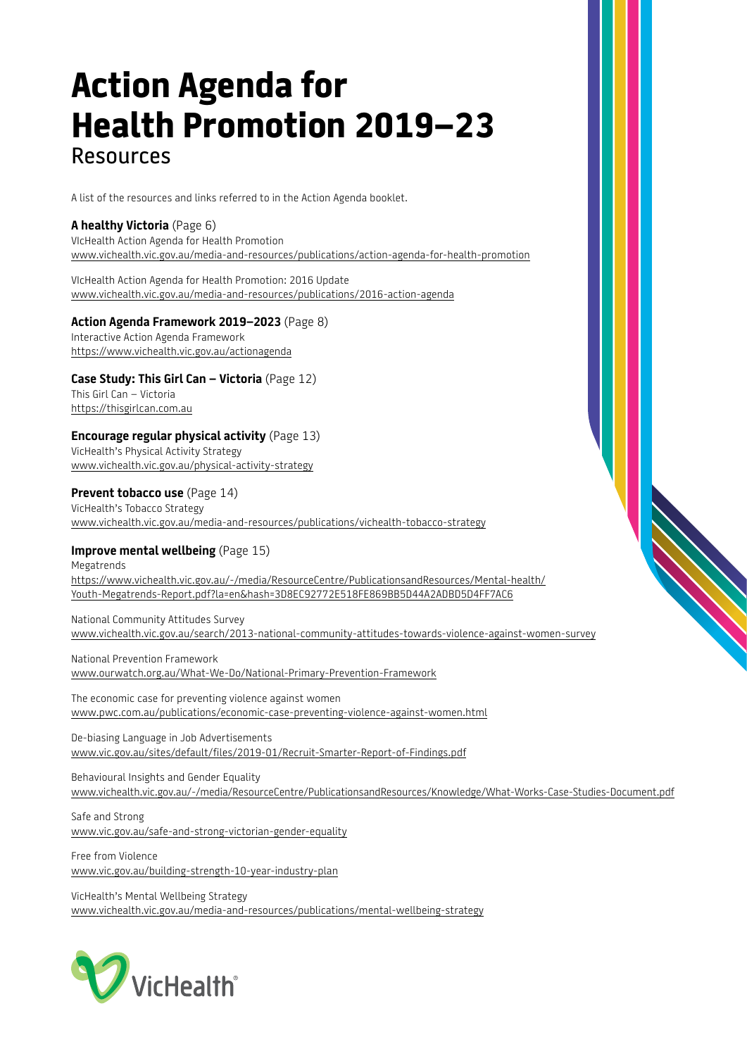# **Action Agenda for Health Promotion 2019–23**  Resources

A list of the resources and links referred to in the Action Agenda booklet.

## **A healthy Victoria** (Page 6)

VIcHealth Action Agenda for Health Promotion [www.vichealth.vic.gov.au/media-and-resources/publications/action-agenda-for-health-promotion](https://www.vichealth.vic.gov.au/media-and-resources/publications/action-agenda-for-health-promotion)

VIcHealth Action Agenda for Health Promotion: 2016 Update [www.vichealth.vic.gov.au/media-and-resources/publications/2016-action-agenda](https://www.vichealth.vic.gov.au/media-and-resources/publications/2016-action-agenda)

### **Action Agenda Framework 2019–2023** (Page 8)

Interactive Action Agenda Framework <https://www.vichealth.vic.gov.au/actionagenda>

## **Case Study: This Girl Can – Victoria** (Page 12)

This Girl Can – Victoria [https://thisgirlcan.com.au](https://thisgirlcan.com.au/)

### **Encourage regular physical activity** (Page 13)

VicHealth's Physical Activity Strategy [www.vichealth.vic.gov.au/physical-activity-strategy](https://www.vichealth.vic.gov.au/physical-activity-strategy)

### **Prevent tobacco use** (Page 14)

VicHealth's Tobacco Strategy [www.vichealth.vic.gov.au/media-and-resources/publications/vichealth-tobacco-strategy](https://www.vichealth.vic.gov.au/media-and-resources/publications/vichealth-tobacco-strategy)

## **Improve mental wellbeing** (Page 15)

Megatrends [https://www.vichealth.vic.gov.au/-/media/ResourceCentre/PublicationsandResources/Mental-health/](https://www.vichealth.vic.gov.au/-/media/ResourceCentre/PublicationsandResources/Mental-health/Youth-Megatrends-Report.pdf?la=en&hash=3D8EC92772E518FE869BB5D44A2ADBD5D4FF7AC6) [Youth-Megatrends-Report.pdf?la=en&hash=3D8EC92772E518FE869BB5D44A2ADBD5D4FF7AC6](https://www.vichealth.vic.gov.au/-/media/ResourceCentre/PublicationsandResources/Mental-health/Youth-Megatrends-Report.pdf?la=en&hash=3D8EC92772E518FE869BB5D44A2ADBD5D4FF7AC6)

National Community Attitudes Survey [www.vichealth.vic.gov.au/search/2013-national-community-attitudes-towards-violence-against-women-survey](https://www.vichealth.vic.gov.au/search/2013-national-community-attitudes-towards-violence-against-women-survey)

National Prevention Framework [www.ourwatch.org.au/What-We-Do/National-Primary-Prevention-Framework](https://www.ourwatch.org.au/What-We-Do/National-Primary-Prevention-Framework)

The economic case for preventing violence against women [www.pwc.com.au/publications/economic-case-preventing-violence-against-women.html](https://www.pwc.com.au/publications/economic-case-preventing-violence-against-women.html)

De-biasing Language in Job Advertisements [www.vic.gov.au/sites/default/files/2019-01/Recruit-Smarter-Report-of-Findings.pdf](https://www.vic.gov.au/sites/default/files/2019-01/Recruit-Smarter-Report-of-Findings.pdf)

Behavioural Insights and Gender Equality [www.vichealth.vic.gov.au/-/media/ResourceCentre/PublicationsandResources/Knowledge/What-Works-Case-Studies-Document.pdf](http://www.vichealth.vic.gov.au/-/media/ResourceCentre/PublicationsandResources/Knowledge/What-Works-Case-Studies-Document.pdf)

Safe and Strong [www.vic.gov.au/safe-and-strong-victorian-gender-equality](https://www.vic.gov.au/safe-and-strong-victorian-gender-equality)

Free from Violence [www.vic.gov.au/building-strength-10-year-industry-plan](https://www.vic.gov.au/building-strength-10-year-industry-plan)

VicHealth's Mental Wellbeing Strategy [www.vichealth.vic.gov.au/media-and-resources/publications/mental-wellbeing-strategy](https://www.vichealth.vic.gov.au/media-and-resources/publications/mental-wellbeing-strategy)